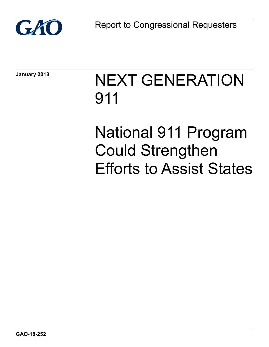

Report to Congressional Requesters

**January 2018**

# NEXT GENERATION 911

# National 911 Program Could Strengthen Efforts to Assist States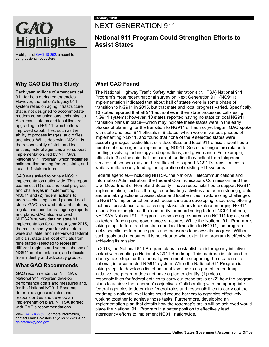## GAO **Highlights**

Highlights o[f GAO-18-252,](http://www.gao.gov/products/GAO-18-252) a report to congressional requesters

## **Why GAO Did This Study**

Each year, millions of Americans call 911 for help during emergencies. However, the nation's legacy 911 system relies on aging infrastructure that is not designed to accommodate modern communications technologies. As a result, states and localities are upgrading to NG911, which offers improved capabilities, such as the ability to process images, audio files, and video. While deploying NG911 is the responsibility of state and local entities, federal agencies also support implementation, led by NHTSA's National 911 Program, which facilitates collaboration among federal, state, and local 911 stakeholders.

GAO was asked to review NG911 implementation nationwide. This report examines: (1) state and local progress and challenges in implementing NG911 and (2) federal actions to address challenges and planned next steps. GAO reviewed relevant statutes, regulations, and federal agency reports and plans. GAO also analyzed NHTSA's survey data on state 911 implementation for calendar year 2015, the most recent year for which data were available, and interviewed federal officials, state and local officials from nine states (selected to represent different regions and various phases of NG911 implementation), and officials from industry and advocacy groups.

## **What GAO Recommends**

GAO recommends that NHTSA's National 911 Program develop performance goals and measures and, for the National NG911 Roadmap, determine agencies' roles and responsibilities and develop an implementation plan. NHTSA agreed with GAO's recommendations.

contact Mark Goldstein at (202) 512-2834 or [goldsteinm@gao.gov.](mailto:goldsteinm@gao.gov)

## NEXT GENERATION 911

## **National 911 Program Could Strengthen Efforts to Assist States**

### **What GAO Found**

The National Highway Traffic Safety Administration's (NHTSA) National 911 Program's most recent national survey on Next Generation 911 (NG911) implementation indicated that about half of states were in some phase of transition to NG911 in 2015, but that state and local progress varied. Specifically, 10 states reported that all 911 authorities in their state processed calls using NG911 systems; however, 18 states reported having no state or local NG911 transition plans in place—which may indicate these states were in the early phases of planning for the transition to NG911 or had not yet begun. GAO spoke with state and local 911 officials in 9 states, which were in various phases of implementing NG911, and found that none of the 9 selected states were accepting images, audio files, or video. State and local 911 officials identified a number of challenges to implementing NG911. Such challenges are related to funding, evolving technology and operations, and governance. For example, officials in 3 states said that the current funding they collect from telephone service subscribers may not be sufficient to support NG911's transition costs while simultaneously funding the operation of existing 911 systems.

Federal agencies—including NHTSA, the National Telecommunications and Information Administration, the Federal Communications Commission, and the U.S. Department of Homeland Security—have responsibilities to support NG911 implementation, such as through coordinating activities and administering grants, and are taking actions to assist state and local entities in addressing challenges to NG911's implementation. Such actions include developing resources, offering technical assistance, and convening stakeholders to explore emerging NG911 issues. For example, as the lead entity for coordinating federal NG911 efforts, NHTSA's National 911 Program is developing resources on NG911 topics, such as federal funding and governance structures. While the National 911 Program is taking steps to facilitate the state and local transition to NG911, the program lacks specific performance goals and measures to assess its progress. Without such goals and measures, it is not clear to what extent the program is effectively achieving its mission.

In 2018, the National 911 Program plans to establish an interagency initiative tasked with creating a National NG911 Roadmap. This roadmap is intended to identify next steps for the federal government in supporting the creation of a national, interconnected NG911 system. While the National 911 Program is taking steps to develop a list of national-level tasks as part of its roadmap initiative, the program does not have a plan to identify: (1) roles or responsibilities for federal entities to carry out these tasks or (2) how the program plans to achieve the roadmap's objectives. Collaborating with the appropriate federal agencies to determine federal roles and responsibilities to carry out the roadmap's national-level tasks could reduce barriers to agencies effectively working together to achieve those tasks. Furthermore, developing an implementation plan that details how the roadmap's tasks will be achieved would place the National 911 Program in a better position to effectively lead Vie[w GAO-18-252.](http://www.gao.gov/products/GAO-18-252) For more information, interagency efforts to implement NG911 nationwide.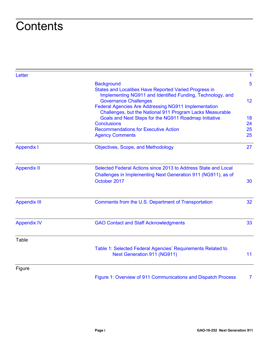## **Contents**

| Letter              |                                                                                                                                                      | 1.       |
|---------------------|------------------------------------------------------------------------------------------------------------------------------------------------------|----------|
|                     | <b>Background</b>                                                                                                                                    | 5        |
|                     | States and Localities Have Reported Varied Progress in<br>Implementing NG911 and Identified Funding, Technology, and<br><b>Governance Challenges</b> | 12       |
|                     | <b>Federal Agencies Are Addressing NG911 Implementation</b><br>Challenges, but the National 911 Program Lacks Measurable                             |          |
|                     | Goals and Next Steps for the NG911 Roadmap Initiative<br><b>Conclusions</b>                                                                          | 18<br>24 |
|                     | <b>Recommendations for Executive Action</b>                                                                                                          | 25       |
|                     | <b>Agency Comments</b>                                                                                                                               | 25       |
| <b>Appendix I</b>   | Objectives, Scope, and Methodology                                                                                                                   | 27       |
| <b>Appendix II</b>  | Selected Federal Actions since 2013 to Address State and Local<br>Challenges in Implementing Next Generation 911 (NG911), as of                      |          |
|                     | October 2017                                                                                                                                         | 30       |
| <b>Appendix III</b> | Comments from the U.S. Department of Transportation                                                                                                  | 32       |
| <b>Appendix IV</b>  | <b>GAO Contact and Staff Acknowledgments</b>                                                                                                         | 33       |
| Table               |                                                                                                                                                      |          |
|                     | Table 1: Selected Federal Agencies' Requirements Related to<br><b>Next Generation 911 (NG911)</b>                                                    | 11       |
| Figure              |                                                                                                                                                      |          |

[Figure 1: Overview of 911 Communications and Dispatch Process](#page-10-0) 7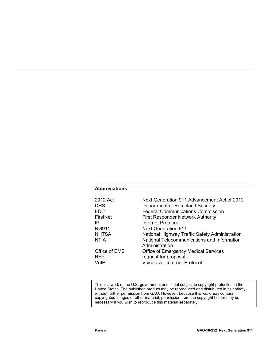#### **Abbreviations**

| Next Generation 911 Advancement Act of 2012<br>Department of Homeland Security<br><b>Federal Communications Commission</b><br><b>First Responder Network Authority</b><br><b>Internet Protocol</b> |
|----------------------------------------------------------------------------------------------------------------------------------------------------------------------------------------------------|
| <b>Next Generation 911</b>                                                                                                                                                                         |
| National Highway Traffic Safety Administration                                                                                                                                                     |
| National Telecommunications and Information<br>Administration                                                                                                                                      |
| <b>Office of Emergency Medical Services</b><br>request for proposal<br>Voice over Internet Protocol                                                                                                |
|                                                                                                                                                                                                    |

This is a work of the U.S. government and is not subject to copyright protection in the United States. The published product may be reproduced and distributed in its entirety without further permission from GAO. However, because this work may contain copyrighted images or other material, permission from the copyright holder may be necessary if you wish to reproduce this material separately.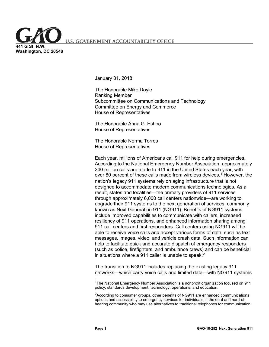<span id="page-4-0"></span>**U.S. GOVERNMENT ACCOUNTABILITY OFFICE** 

**441 G St. N.W. Washington, DC 20548**

January 31, 2018

The Honorable Mike Doyle Ranking Member Subcommittee on Communications and Technology Committee on Energy and Commerce House of Representatives

The Honorable Anna G. Eshoo House of Representatives

The Honorable Norma Torres House of Representatives

Each year, millions of Americans call 911 for help during emergencies. According to the National Emergency Number Association, approximately 240 million calls are made to 911 in the United States each year, with over 80 percent of these calls made from wireless devices.<sup>[1](#page-4-1)</sup> However, the nation's legacy 911 systems rely on aging infrastructure that is not designed to accommodate modern communications technologies. As a result, states and localities—the primary providers of 911 services through approximately 6,000 call centers nationwide—are working to upgrade their 911 systems to the next generation of services, commonly known as Next Generation 911 (NG911). Benefits of NG911 systems include improved capabilities to communicate with callers, increased resiliency of 911 operations, and enhanced information sharing among 911 call centers and first responders. Call centers using NG911 will be able to receive voice calls and accept various forms of data, such as text messages, images, video, and vehicle crash data. Such information can help to facilitate quick and accurate dispatch of emergency responders (such as police, firefighters, and ambulance crews) and can be beneficial in situations where a 911 caller is unable to speak. $<sup>2</sup>$  $<sup>2</sup>$  $<sup>2</sup>$ </sup>

The transition to NG911 includes replacing the existing legacy 911 networks—which carry voice calls and limited data—with NG911 systems

<span id="page-4-1"></span><sup>1</sup>The National Emergency Number Association is a nonprofit organization focused on 911 policy, standards development, technology, operations, and education.

<span id="page-4-2"></span><sup>2</sup>According to consumer groups, other benefits of NG911 are enhanced communications options and accessibility to emergency services for individuals in the deaf and hard-ofhearing community who may use alternatives to traditional telephones for communication.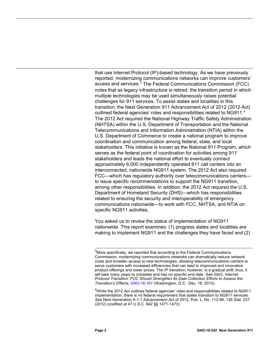that use Internet Protocol (IP)-based technology. As we have previously reported, modernizing communications networks can improve customers' access and services.<sup>[3](#page-5-0)</sup> The Federal Communications Commission (FCC) notes that as legacy infrastructure is retired, the transition period in which multiple technologies may be used simultaneously raises potential challenges for 911 services. To assist states and localities in this transition, the Next Generation 911 Advancement Act of 2012 (2012 Act) outlined federal agencies' roles and responsibilities related to NG911.[4](#page-5-1) The 2012 Act required the National Highway Traffic Safety Administration (NHTSA) within the U.S. Department of Transportation and the National Telecommunications and Information Administration (NTIA) within the U.S. Department of Commerce to create a national program to improve coordination and communication among federal, state, and local stakeholders. This initiative is known as the National 911 Program, which serves as the federal point of coordination for activities among 911 stakeholders and leads the national effort to eventually connect approximately 6,000 independently operated 911 call centers into an interconnected, nationwide NG911 system. The 2012 Act also required FCC—which has regulatory authority over telecommunications carriers to issue specific recommendations to support the NG911 transition, among other responsibilities. In addition, the 2012 Act required the U.S. Department of Homeland Security (DHS)—which has responsibilities related to ensuring the security and interoperability of emergency communications nationwide—to work with FCC, NHTSA, and NTIA on specific NG911 activities.

You asked us to review the status of implementation of NG911 nationwide. This report examines: (1) progress states and localities are making to implement NG911 and the challenges they have faced and (2)

<span id="page-5-0"></span> $3$ More specifically, we reported that according to the Federal Communications Commission, modernizing communications networks can dramatically reduce network costs and broaden access to new technologies, allowing telecommunications carriers to serve customers with increased efficiencies that can lead to improved and innovative product offerings and lower prices. The IP transition, however, is a gradual shift; thus, it will take many years to complete and has no specific end date. See GAO, *Internet Protocol Transition: FCC Should Strengthen Its Data Collection Efforts to Assess the Transition's Effects,* [GAO-16-167 \(](http://www.gao.gov/products/GAO-16-167)Washington, D.C.: Dec. 16, 2015).

<span id="page-5-1"></span><sup>&</sup>lt;sup>4</sup>While the 2012 Act outlines federal agencies' roles and responsibilities related to NG911 implementation, there is no federal requirement that states transition to NG911 services. *See* Next Generation 9-1-1 Advancement Act of 2012, Pub. L. No. 112-96, 126 Stat. 237 (2012) (codified at 47 U.S.C. 942 §§ 1471-1473).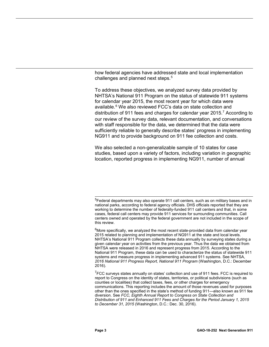how federal agencies have addressed state and local implementation challenges and planned next steps.<sup>[5](#page-6-0)</sup>

To address these objectives, we analyzed survey data provided by NHTSA's National 911 Program on the status of statewide 911 systems for calendar year 2015, the most recent year for which data were available.<sup>[6](#page-6-1)</sup> We also reviewed FCC's data on state collection and distribution of 911 fees and charges for calendar year 2015.[7](#page-6-2) According to our review of the survey data, relevant documentation, and conversations with staff responsible for the data, we determined that the data were sufficiently reliable to generally describe states' progress in implementing NG911 and to provide background on 911 fee collection and costs.

We also selected a non-generalizable sample of 10 states for case studies, based upon a variety of factors, including variation in geographic location, reported progress in implementing NG911, number of annual

<span id="page-6-0"></span><sup>&</sup>lt;sup>5</sup>Federal departments may also operate 911 call centers, such as on military bases and in national parks, according to federal agency officials. DHS officials reported that they are working to determine the number of federally-funded 911 call centers and that, in some cases, federal call centers may provide 911 services for surrounding communities. Call centers owned and operated by the federal government are not included in the scope of this review.

<span id="page-6-1"></span> $^6$ More specifically, we analyzed the most recent state-provided data from calendar year 2015 related to planning and implementation of NG911 at the state and local levels. NHTSA's National 911 Program collects these data annually by surveying states during a given calendar year on activities from the previous year. Thus the data we obtained from NHTSA were released in 2016 and represent progress from 2015. According to the National 911 Program, these data can be used to characterize the status of statewide 911 systems and measure progress in implementing advanced 911 systems. See NHTSA, *2016 National 911 Progress Report, National 911 Program* (Washington, D.C.: December 2016).

<span id="page-6-2"></span> $7$ FCC surveys states annually on states' collection and use of 911 fees. FCC is required to report to Congress on the identity of states, territories, or political subdivisions (such as counties or localities) that collect taxes, fees, or other charges for emergency communications. This reporting includes the amount of those revenues used for purposes other than the ones specified in the state's method of funding 911—also known as 911 fee diversion. See *FCC, Eighth Annual Report to Congress on State Collection and Distribution of 911 and Enhanced 911 Fees and Charges for the Period January 1, 2015 to December 31, 2015* (Washington, D.C.: Dec. 30, 2016).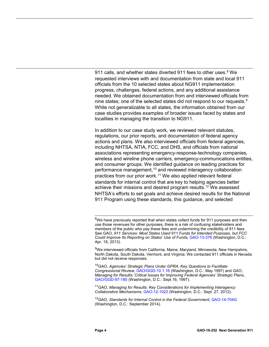911 calls, and whether states diverted 911 fees to other uses.<sup>[8](#page-7-0)</sup> We requested interviews with and documentation from state and local 911 officials from the 10 selected states about NG911 implementation progress, challenges, federal actions, and any additional assistance needed. We obtained documentation from and interviewed officials from nine states; one of the selected states did not respond to our requests.<sup>[9](#page-7-1)</sup> While not generalizable to all states, the information obtained from our case studies provides examples of broader issues faced by states and localities in managing the transition to NG911.

In addition to our case study work, we reviewed relevant statutes, regulations, our prior reports, and documentation of federal agency actions and plans. We also interviewed officials from federal agencies, including NHTSA, NTIA, FCC, and DHS, and officials from national associations representing emergency-response-technology companies, wireless and wireline phone carriers, emergency-communications entities, and consumer groups. We identified guidance on leading practices for performance management,<sup>[10](#page-7-2)</sup> and reviewed interagency collaboration practices from our prior work.<sup>[11](#page-7-3)</sup> We also applied relevant federal standards for internal control that are key to helping agencies better achieve their missions and desired program results.<sup>[12](#page-7-4)</sup> We assessed NHTSA's efforts to set goals and achieve desired results for the National 911 Program using these standards, this guidance, and selected

<span id="page-7-1"></span><sup>9</sup>We interviewed officials from California, Maine, Maryland, Minnesota, New Hampshire, North Dakota, South Dakota, Vermont, and Virginia. We contacted 911 officials in Nevada but did not receive responses.

<span id="page-7-2"></span>10GAO, *Agencies' Strategic Plans Under GPRA: Key Questions to Facilitate Congressional Review,* [GAO/GGD-10.1.16 \(](http://www.gao.gov/products/GAO/GGD-10.1.16)Washington, D.C.: May 1997) and GAO, *Managing for Results: Critical Issues for Improving Federal Agencies' Strategic Plans*, [GAO/GGD-97-180 \(](http://www.gao.gov/products/GAO/GGD-97-180)Washington, D.C.: Sept.16, 1997).

<span id="page-7-3"></span>11GAO, *Managing for Results: Key Considerations for Implementing Interagency Collaborative Mechanisms*[, GAO-12-1022 \(](http://www.gao.gov/products/GAO-12-1022)Washington, D.C.: Sept. 27, 2012).

<span id="page-7-4"></span>12GAO, *Standards for Internal Control in the Federal Government*, [GAO-14-704G](http://www.gao.gov/products/GAO-14-704G)  (Washington, D.C.: September 2014).

<span id="page-7-0"></span> $8$ We have previously reported that when states collect funds for 911 purposes and then use those revenues for other purposes, there is a risk of confusing stakeholders and members of the public who pay these fees and undermining the credibility of 911 fees. See GAO, *911 Services: Most States Used 911 Funds for Intended Purposes, but FCC Could Improve Its Reporting on States' Use of Funds,* [GAO-13-376 \(](http://www.gao.gov/products/GAO-13-376)Washington, D.C.: Apr. 18, 2013).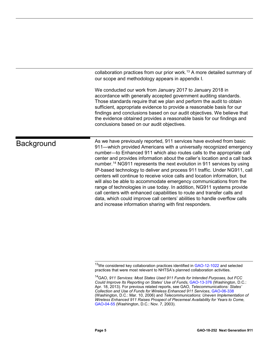collaboration practices from our prior work.<sup>[13](#page-8-1)</sup> A more detailed summary of our scope and methodology appears in appendix I.

We conducted our work from January 2017 to January 2018 in accordance with generally accepted government auditing standards. Those standards require that we plan and perform the audit to obtain sufficient, appropriate evidence to provide a reasonable basis for our findings and conclusions based on our audit objectives. We believe that the evidence obtained provides a reasonable basis for our findings and conclusions based on our audit objectives.

## <span id="page-8-0"></span>**Background**

As we have previously reported, 911 services have evolved from basic 911—which provided Americans with a universally recognized emergency number—to Enhanced 911 which also routes calls to the appropriate call center and provides information about the caller's location and a call back number.<sup>[14](#page-8-2)</sup> NG911 represents the next evolution in 911 services by using IP-based technology to deliver and process 911 traffic. Under NG911, call centers will continue to receive voice calls and location information, but will also be able to accommodate emergency communications from the range of technologies in use today. In addition, NG911 systems provide call centers with enhanced capabilities to route and transfer calls and data, which could improve call centers' abilities to handle overflow calls and increase information sharing with first responders.

<span id="page-8-1"></span> $13$ We considered key collaboration practices identified in [GAO-12-1022 a](http://www.gao.gov/products/GAO-12-1022)nd selected practices that were most relevant to NHTSA's planned collaboration activities.

<span id="page-8-2"></span><sup>14</sup>GAO, *911 Services: Most States Used 911 Funds for Intended Purposes, but FCC Could Improve Its Reporting on States' Use of Funds,* [GAO-13-376 \(](http://www.gao.gov/products/GAO-13-376)Washington, D.C.: Apr. 18, 2013). For previous related reports, see GAO, *Telecommunications: States' Collection and Use of Funds for Wireless Enhanced 911 Services*[, GAO-06-338](http://www.gao.gov/products/GAO-06-338)  (Washington, D.C.: Mar. 10, 2006) and *Telecommunications: Uneven Implementation of Wireless Enhanced 911 Raises Prospect of Piecemeal Availability for Years to Come,*  [GAO-04-55 \(](http://www.gao.gov/products/GAO-04-55)Washington, D.C.: Nov. 7, 2003).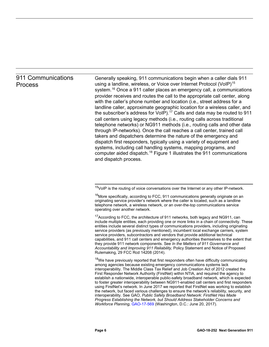## 911 Communications Process

Generally speaking, 911 communications begin when a caller dials 911 using a landline, wireless, or Voice over Internet Protocol (VoIP)<sup>[15](#page-9-0)</sup> system.<sup>[16](#page-9-1)</sup> Once a 911 caller places an emergency call, a communications provider receives and routes the call to the appropriate call center, along with the caller's phone number and location (i.e., street address for a landline caller, approximate geographic location for a wireless caller, and the subscriber's address for VoIP).<sup>[17](#page-9-2)</sup> Calls and data may be routed to 911 call centers using legacy methods (i.e., routing calls across traditional telephone networks) or NG911 methods (i.e., routing calls and other data through IP-networks). Once the call reaches a call center, trained call takers and dispatchers determine the nature of the emergency and dispatch first responders, typically using a variety of equipment and systems, including call handling systems, mapping programs, and computer aided dispatch.[18](#page-9-3) Figure 1 illustrates the 911 communications and dispatch process.

<span id="page-9-2"></span><sup>17</sup> According to FCC, the architecture of 911 networks, both legacy and NG911, can include multiple entities, each providing one or more links in a chain of connectivity. These entities include several distinct types of communications providers, including originating service providers (as previously mentioned), incumbent local exchange carriers, system service providers, subcontractors and vendors that provide additional technical capabilities, and 911 call centers and emergency authorities themselves to the extent that they provide 911 network components. See *In the Matters of 911 Governance and Accountability and Improving 911 Reliability,* Policy Statement and Notice of Proposed Rulemaking, 29 FCC Rcd 14208 (2014).

<span id="page-9-3"></span> $18$ We have previously reported that first responders often have difficulty communicating among agencies because existing emergency communications systems lack interoperability. The Middle Class Tax Relief and Job Creation Act of 2012 created the First Responder Network Authority (FirstNet) within NTIA, and required the agency to establish a nationwide, interoperable public-safety broadband network, which is expected to foster greater interoperability between NG911-enabled call centers and first responders using FirstNet's network. In June 2017 we reported that FirstNet was working to establish the network, but faced various challenges to ensure the network's reliability, security, and interoperability. See GAO, *Public Safety Broadband Network: FirstNet Has Made Progress Establishing the Network, but Should Address Stakeholder Concerns and Workforce Planning,* [GAO-17-569 \(](http://www.gao.gov/products/GAO-17-569)Washington, D.C.: June 20, 2017).

 $15$ VoIP is the routing of voice conversations over the Internet or any other IP-network.

<span id="page-9-1"></span><span id="page-9-0"></span><sup>&</sup>lt;sup>16</sup>More specifically, according to FCC, 911 communications generally originate on an originating service provider's network where the caller is located, such as a landline telephone network, a wireless network, or an over-the-top communications service operating over another network.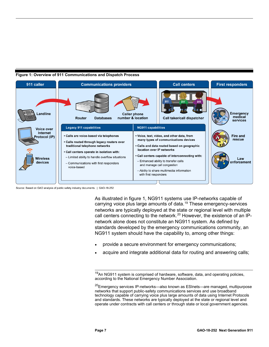

<span id="page-10-0"></span>

<span id="page-10-1"></span>Source: Based on GAO analysis of public safety industry documents. | GAO-18-252

As illustrated in figure 1, NG911 systems use IP-networks capable of carrying voice plus large amounts of data.<sup>[19](#page-10-1)</sup> These emergency-services networks are typically deployed at the state or regional level with multiple call centers connecting to the network.<sup>[20](#page-10-2)</sup> However, the existence of an IPnetwork alone does not constitute an NG911 system. As defined by standards developed by the emergency communications community, an NG911 system should have the capability to, among other things:

- provide a secure environment for emergency communications;
- acquire and integrate additional data for routing and answering calls;

<sup>&</sup>lt;sup>19</sup>An NG911 system is comprised of hardware, software, data, and operating policies, according to the National Emergency Number Association.

<span id="page-10-2"></span><sup>&</sup>lt;sup>20</sup>Emergency services IP-networks—also known as ESInets—are managed, multipurpose networks that support public-safety communications services and use broadband technology capable of carrying voice plus large amounts of data using Internet Protocols and standards. These networks are typically deployed at the state or regional level and operate under contracts with call centers or through state or local government agencies.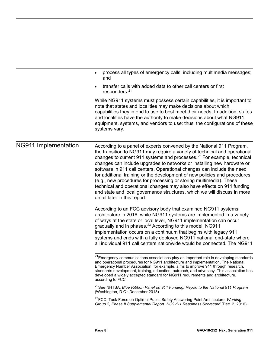<span id="page-11-2"></span><span id="page-11-1"></span><span id="page-11-0"></span>

|                      | process all types of emergency calls, including multimedia messages;<br>$\bullet$<br>and                                                                                                                                                                                                                                                                                                                                                                                                                                                                                                                                                                                                                                               |
|----------------------|----------------------------------------------------------------------------------------------------------------------------------------------------------------------------------------------------------------------------------------------------------------------------------------------------------------------------------------------------------------------------------------------------------------------------------------------------------------------------------------------------------------------------------------------------------------------------------------------------------------------------------------------------------------------------------------------------------------------------------------|
|                      | transfer calls with added data to other call centers or first<br>responders. <sup>21</sup>                                                                                                                                                                                                                                                                                                                                                                                                                                                                                                                                                                                                                                             |
|                      | While NG911 systems must possess certain capabilities, it is important to<br>note that states and localities may make decisions about which<br>capabilities they intend to use to best meet their needs. In addition, states<br>and localities have the authority to make decisions about what NG911<br>equipment, systems, and vendors to use; thus, the configurations of these<br>systems vary.                                                                                                                                                                                                                                                                                                                                     |
| NG911 Implementation | According to a panel of experts convened by the National 911 Program,<br>the transition to NG911 may require a variety of technical and operational<br>changes to current 911 systems and processes. <sup>22</sup> For example, technical<br>changes can include upgrades to networks or installing new hardware or<br>software in 911 call centers. Operational changes can include the need<br>for additional training or the development of new policies and procedures<br>(e.g., new procedures for processing or storing multimedia). These<br>technical and operational changes may also have effects on 911 funding<br>and state and local governance structures, which we will discuss in more<br>detail later in this report. |
|                      | According to an FCC advisory body that examined NG911 systems<br>architecture in 2016, while NG911 systems are implemented in a variety<br>of ways at the state or local level, NG911 implementation can occur<br>gradually and in phases. <sup>23</sup> According to this model, NG911<br>implementation occurs on a continuum that begins with legacy 911<br>systems and ends with a fully deployed NG911 national end-state where<br>all individual 911 call centers nationwide would be connected. The NG911                                                                                                                                                                                                                       |
|                      | <sup>21</sup> Emergency communications associations play an important role in developing standards<br>and operational procedures for NG911 architecture and implementation. The National<br>Emergency Number Association, for example, aims to improve 911 through research,<br>standards development, training, education, outreach, and advocacy. This association has<br>developed a widely accepted standard for NG911 requirements and architecture,<br>according to FCC.                                                                                                                                                                                                                                                         |
|                      | <sup>22</sup> See NHTSA, Blue Ribbon Panel on 911 Funding: Report to the National 911 Program<br>(Washington, D.C.: December 2013).                                                                                                                                                                                                                                                                                                                                                                                                                                                                                                                                                                                                    |
|                      | <sup>23</sup> FCC, Task Force on Optimal Public Safety Answering Point Architecture, Working<br>Group 2, Phase II Supplemental Report: NG9-1-1 Readiness Scorecard (Dec. 2, 2016).                                                                                                                                                                                                                                                                                                                                                                                                                                                                                                                                                     |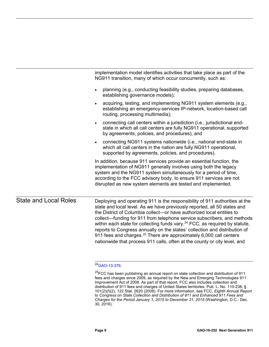implementation model identifies activities that take place as part of the NG911 transition, many of which occur concurrently, such as: • planning (e.g., conducting feasibility studies, preparing databases, establishing governance models); • acquiring, testing, and implementing NG911 system elements (e.g., establishing an emergency-services IP-network, location-based call routing, processing multimedia); • connecting call centers within a jurisdiction (i.e., jurisdictional endstate in which all call centers are fully NG911 operational, supported by agreements, policies, and procedures); and • connecting NG911 systems nationwide (i.e., national end-state in which all call centers in the nation are fully NG911 operational, supported by agreements, policies, and procedures). In addition, because 911 services provide an essential function, the implementation of NG911 generally involves using both the legacy system and the NG911 system simultaneously for a period of time, according to the FCC advisory body, to ensure 911 services are not disrupted as new system elements are tested and implemented. Deploying and operating 911 is the responsibility of 911 authorities at the state and local level. As we have previously reported, all 50 states and the District of Columbia collect—or have authorized local entities to collect—funding for 911 from telephone service subscribers, and methods within each state for collecting funds vary. $24$  FCC, as required by statute, reports to Congress annually on the states' collection and distribution of 911 fees and charges. $25$  There are approximately 6,000 call centers nationwide that process 911 calls, often at the county or city level, and State and Local Roles

#### <span id="page-12-0"></span> [24GAO-13-376.](http://www.gao.gov/products/GAO-13-376)

<span id="page-12-1"></span> $25$ FCC has been publishing an annual report on state collection and distribution of 911 fees and charges since 2009, as required by the New and Emerging Technologies 911 Improvement Act of 2008. As part of that report, FCC also includes collection and distribution of 911 fees and charges of United States territories. Pub. L. No. 110-238, § 101(2)(f)(2), 122 Stat. 2620 (2008). For more information, see FCC, *Eighth Annual Report to Congress on State Collection and Distribution of 911 and Enhanced 911 Fees and Charges for the Period January 1, 2015 to December 31, 2015* (Washington, D.C.: Dec. 30, 2016).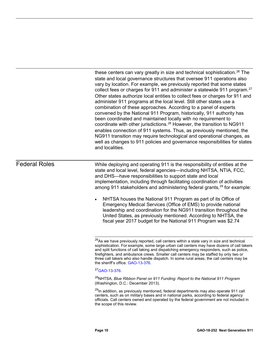these centers can vary greatly in size and technical sophistication.<sup>[26](#page-13-0)</sup> The state and local governance structures that oversee 911 operations also vary by location. For example, we previously reported that some states collect fees or charges for 911 and administer a statewide 911 program.<sup>[27](#page-13-1)</sup> Other states authorize local entities to collect fees or charges for 911 and administer 911 programs at the local level. Still other states use a combination of these approaches. According to a panel of experts convened by the National 911 Program, historically, 911 authority has been coordinated and maintained locally with no requirement to coordinate with other jurisdictions.[28](#page-13-2) However, the transition to NG911 enables connection of 911 systems. Thus, as previously mentioned, the NG911 transition may require technological and operational changes, as well as changes to 911 policies and governance responsibilities for states and localities.

<span id="page-13-0"></span>Federal Roles

While deploying and operating 911 is the responsibility of entities at the state and local level, federal agencies—including NHTSA, NTIA, FCC, and DHS—have responsibilities to support state and local implementation, including through facilitating coordination of activities among 911 stakeholders and administering federal grants,<sup>[29](#page-13-3)</sup> for example:

• NHTSA houses the National 911 Program as part of its Office of Emergency Medical Services (Office of EMS) to provide national leadership and coordination for the NG911 transition throughout the United States, as previously mentioned. According to NHTSA, the fiscal year 2017 budget for the National 911 Program was \$2.74

#### <span id="page-13-1"></span>[27GAO-13-376.](http://www.gao.gov/products/GAO-13-376)

<span id="page-13-2"></span>28NHTSA, *Blue Ribbon Panel on 911 Funding: Report to the National 911 Program* (Washington, D.C.: December 2013).

<span id="page-13-3"></span><sup>29</sup>In addition, as previously mentioned, federal departments may also operate 911 call centers, such as on military bases and in national parks, according to federal agency officials. Call centers owned and operated by the federal government are not included in the scope of this review.

<sup>&</sup>lt;sup>26</sup>As we have previously reported, call centers within a state vary in size and technical sophistication. For example, some large urban call centers may have dozens of call takers and split functions of call taking and dispatching emergency responders, such as police, firefighters, and ambulance crews. Smaller call centers may be staffed by only two or three call takers who also handle dispatch. In some rural areas, the call centers may be the sheriff's office. [GAO-13-376.](http://www.gao.gov/products/GAO-13-376)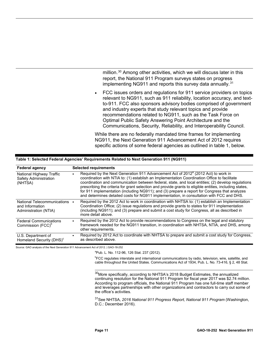million.<sup>[30](#page-14-1)</sup> Among other activities, which we will discuss later in this report, the National 911 Program surveys states on progress implementing NG911 and reports this survey data annually.<sup>[31](#page-14-2)</sup>

• FCC issues orders and regulations for 911 service providers on topics relevant to NG911, such as 911 reliability, location accuracy, and textto-911. FCC also sponsors advisory bodies comprised of government and industry experts that study relevant topics and provide recommendations related to NG911, such as the Task Force on Optimal Public Safety Answering Point Architecture and the Communications, Security, Reliability, and Interoperability Council.

While there are no federally mandated time frames for implementing NG911, the Next Generation 911 Advancement Act of 2012 requires specific actions of some federal agencies as outlined in table 1, below.

| <b>Federal agency</b>                                                   | <b>Selected requirements</b> |                                                                                                                                                                                                                                                                                                                                                                                                                                                                                                                                                                                                               |  |
|-------------------------------------------------------------------------|------------------------------|---------------------------------------------------------------------------------------------------------------------------------------------------------------------------------------------------------------------------------------------------------------------------------------------------------------------------------------------------------------------------------------------------------------------------------------------------------------------------------------------------------------------------------------------------------------------------------------------------------------|--|
| National Highway Traffic<br>Safety Administration<br>(NHTSA)            |                              | Required by the Next Generation 911 Advancement Act of 2012 <sup>ª</sup> (2012 Act) to work in<br>coordination with NTIA to: (1) establish an Implementation Coordination Office to facilitate<br>coordination and communication between federal, state, and local entities; (2) develop regulations<br>prescribing the criteria for grant selection and provide grants to eligible entities, including states,<br>for 911 implementation (including NG911); and (3) prepare a report for Congress that analyzes<br>and determines detailed costs for NG911 implementation, in consultation with FCC and DHS. |  |
| National Telecommunications<br>and Information<br>Administration (NTIA) |                              | Required by the 2012 Act to work in coordination with NHTSA to: (1) establish an Implementation<br>Coordination Office; (2) issue regulations and provide grants to states for 911 implementation<br>(including NG911); and (3) prepare and submit a cost study for Congress, all as described in<br>more detail above.                                                                                                                                                                                                                                                                                       |  |
| <b>Federal Communications</b><br>Commission (FCC) <sup>b</sup>          |                              | Required by the 2012 Act to provide recommendations to Congress on the legal and statutory<br>framework needed for the NG911 transition, in coordination with NHTSA, NTIA, and DHS, among<br>other requirements.                                                                                                                                                                                                                                                                                                                                                                                              |  |
| U.S. Department of<br>Homeland Security (DHS) <sup>c</sup>              |                              | Required by 2012 Act to coordinate with NHTSA to prepare and submit a cost study for Congress,<br>as described above.                                                                                                                                                                                                                                                                                                                                                                                                                                                                                         |  |

#### <span id="page-14-0"></span>**Table 1: Selected Federal Agencies' Requirements Related to Next Generation 911 (NG911)**

<span id="page-14-2"></span><span id="page-14-1"></span>Source: GAO analysis of the Next Generation 911 Advancement Act of 2012. | GAO-18-252

a Pub. L. No. 112-96, 126 Stat. 237 (2012).

<sup>b</sup>FCC regulates interstate and international communications by radio, television, wire, satellite, and cable throughout the United States. Communications Act of 1934, Pub. L. No. 73-416, § 2, 48 Stat.

 30More specifically, according to NHTSA's 2018 Budget Estimates, the annualized continuing resolution for the National 911 Program for fiscal year 2017 was \$2.74 million. According to program officials, the National 911 Program has one full-time staff member and leverages partnerships with other organizations and contractors to carry out some of the office's activities.

31See NHTSA, *2016 National 911 Progress Report, National 911 Program* (Washington, D.C.: December 2016).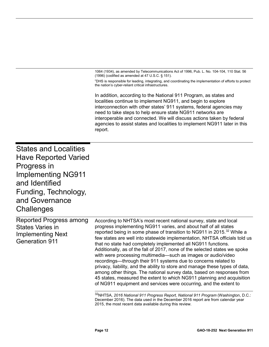1064 (1934), as amended by Telecommunications Act of 1996, Pub. L. No. 104-104, 110 Stat. 56 (1996) (codified as amended at 47 U.S.C. § 151).

c DHS is responsible for leading, integrating, and coordinating the implementation of efforts to protect the nation's cyber-reliant critical infrastructures.

In addition, according to the National 911 Program, as states and localities continue to implement NG911, and begin to explore interconnection with other states' 911 systems, federal agencies may need to take steps to help ensure state NG911 networks are interoperable and connected. We will discuss actions taken by federal agencies to assist states and localities to implement NG911 later in this report.

<span id="page-15-1"></span><span id="page-15-0"></span>

| <b>States and Localities</b><br><b>Have Reported Varied</b><br>Progress in<br><b>Implementing NG911</b><br>and Identified<br>Funding, Technology,<br>and Governance<br>Challenges |                                                                                                                                                                                                                                                                                                                                                                                                                                                                                                                                                                                                                                                                                                                                                                                                                                                                                                                                                                                                                                                                                                                                                         |
|-----------------------------------------------------------------------------------------------------------------------------------------------------------------------------------|---------------------------------------------------------------------------------------------------------------------------------------------------------------------------------------------------------------------------------------------------------------------------------------------------------------------------------------------------------------------------------------------------------------------------------------------------------------------------------------------------------------------------------------------------------------------------------------------------------------------------------------------------------------------------------------------------------------------------------------------------------------------------------------------------------------------------------------------------------------------------------------------------------------------------------------------------------------------------------------------------------------------------------------------------------------------------------------------------------------------------------------------------------|
| Reported Progress among<br><b>States Varies in</b><br><b>Implementing Next</b><br><b>Generation 911</b>                                                                           | According to NHTSA's most recent national survey, state and local<br>progress implementing NG911 varies, and about half of all states<br>reported being in some phase of transition to NG911 in 2015. <sup>32</sup> While a<br>few states are well into statewide implementation, NHTSA officials told us<br>that no state had completely implemented all NG911 functions.<br>Additionally, as of the fall of 2017, none of the selected states we spoke<br>with were processing multimedia—such as images or audio/video<br>recordings—through their 911 systems due to concerns related to<br>privacy, liability, and the ability to store and manage these types of data,<br>among other things. The national survey data, based on responses from<br>45 states, measured the extent to which NG911 planning and acquisition<br>of NG911 equipment and services were occurring, and the extent to<br><sup>32</sup> NHTSA, 2016 National 911 Progress Report, National 911 Program (Washington, D.C.:<br>December 2016). The data used in the December 2016 report are from calendar year<br>2015, the most recent data available during this review. |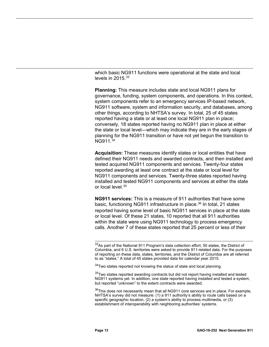which basic NG911 functions were operational at the state and local levels in  $2015^{33}$  $2015^{33}$  $2015^{33}$ 

**Planning:** This measure includes state and local NG911 plans for governance, funding, system components, and operations. In this context, system components refer to an emergency services IP-based network, NG911 software, system and information security, and databases, among other things, according to NHTSA's survey. In total, 25 of 45 states reported having a state or at least one local NG911 plan in place; conversely, 18 states reported having no NG911 plan in place at either the state or local level—which may indicate they are in the early stages of planning for the NG911 transition or have not yet begun the transition to NG911.[34](#page-16-1)

**Acquisition:** These measures identify states or local entities that have defined their NG911 needs and awarded contracts, and then installed and tested acquired NG911 components and services. Twenty-four states reported awarding at least one contract at the state or local level for NG911 components and services. Twenty-three states reported having installed and tested NG911 components and services at either the state or local level.[35](#page-16-2)

**NG911 services:** This is a measure of 911 authorities that have some basic, functioning NG911 infrastructure in place.<sup>[36](#page-16-3)</sup> In total, 21 states reported having some level of basic NG911 services in place at the state or local level. Of these 21 states, 10 reported that all 911 authorities within the state were using NG911 technology to process emergency calls. Another 7 of these states reported that 25 percent or less of their

<span id="page-16-0"></span><sup>&</sup>lt;sup>33</sup>As part of the National 911 Program's data collection effort, 50 states, the District of Columbia, and 6 U.S. territories were asked to provide 911-related data. For the purposes of reporting on these data, states, territories, and the District of Columbia are all referred to as "states." A total of 45 states provided data for calendar year 2015.

<span id="page-16-1"></span> $34$ Two states reported not knowing the status of state and local planning.

<span id="page-16-2"></span> $35$ Two states reported awarding contracts but did not report having installed and tested NG911 systems yet. In addition, one state reported having installed and tested a system, but reported "unknown" to the extent contracts were awarded.

<span id="page-16-3"></span><sup>&</sup>lt;sup>36</sup>This does not necessarily mean that all NG911 core services are in place. For example, NHTSA's survey did not measure: (1) a 911 authority's ability to route calls based on a specific geographic location, (2) a system's ability to process multimedia, or (3) establishment of interoperability with neighboring authorities' systems.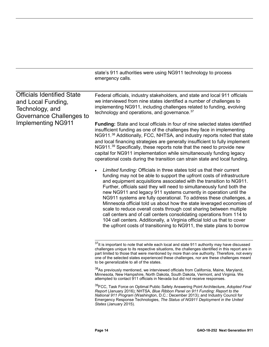state's 911 authorities were using NG911 technology to process emergency calls.

<span id="page-17-2"></span><span id="page-17-1"></span><span id="page-17-0"></span>

| <b>Officials Identified State</b><br>and Local Funding,<br>Technology, and<br>Governance Challenges to | Federal officials, industry stakeholders, and state and local 911 officials<br>we interviewed from nine states identified a number of challenges to<br>implementing NG911, including challenges related to funding, evolving<br>technology and operations, and governance. <sup>37</sup>                                                                                                                                                                                                                                                                                                                                                                                                                                                                                                                                     |  |  |
|--------------------------------------------------------------------------------------------------------|------------------------------------------------------------------------------------------------------------------------------------------------------------------------------------------------------------------------------------------------------------------------------------------------------------------------------------------------------------------------------------------------------------------------------------------------------------------------------------------------------------------------------------------------------------------------------------------------------------------------------------------------------------------------------------------------------------------------------------------------------------------------------------------------------------------------------|--|--|
| <b>Implementing NG911</b>                                                                              | Funding: State and local officials in four of nine selected states identified<br>insufficient funding as one of the challenges they face in implementing<br>NG911. <sup>38</sup> Additionally, FCC, NHTSA, and industry reports noted that state<br>and local financing strategies are generally insufficient to fully implement<br>NG911. <sup>39</sup> Specifically, these reports note that the need to provide new<br>capital for NG911 implementation while simultaneously funding legacy<br>operational costs during the transition can strain state and local funding.                                                                                                                                                                                                                                                |  |  |
|                                                                                                        | Limited funding: Officials in three states told us that their current<br>funding may not be able to support the upfront costs of infrastructure<br>and equipment acquisitions associated with the transition to NG911.<br>Further, officials said they will need to simultaneously fund both the<br>new NG911 and legacy 911 systems currently in operation until the<br>NG911 systems are fully operational. To address these challenges, a<br>Minnesota official told us about how the state leveraged economies of<br>scale to reduce overall costs through cost sharing between multiple<br>call centers and of call centers consolidating operations from 114 to<br>104 call centers. Additionally, a Virginia official told us that to cover<br>the upfront costs of transitioning to NG911, the state plans to borrow |  |  |
|                                                                                                        | $37$ It is important to note that while each local and state 911 authority may have discussed<br>challenges unique to its respective situations, the challenges identified in this report are in<br>part limited to those that were mentioned by more than one authority. Therefore, not every<br>one of the selected states experienced these challenges, nor are these challenges meant<br>to be generalizable to all of the states.                                                                                                                                                                                                                                                                                                                                                                                       |  |  |
|                                                                                                        | <sup>38</sup> As previously mentioned, we interviewed officials from California, Maine, Maryland,<br>Minnesota, New Hampshire, North Dakota, South Dakota, Vermont, and Virginia. We<br>attempted to contact 911 officials in Nevada but did not receive responses.                                                                                                                                                                                                                                                                                                                                                                                                                                                                                                                                                          |  |  |
|                                                                                                        | <sup>39</sup> FCC, Task Force on Optimal Public Safety Answering Point Architecture, Adopted Final<br>Report (January 2016); NHTSA, Blue Ribbon Panel on 911 Funding: Report to the<br>National 911 Program (Washington, D.C.: December 2013); and Industry Council for<br>Emergency Response Technologies, The Status of NG911 Deployment in the United<br>States (January 2015).                                                                                                                                                                                                                                                                                                                                                                                                                                           |  |  |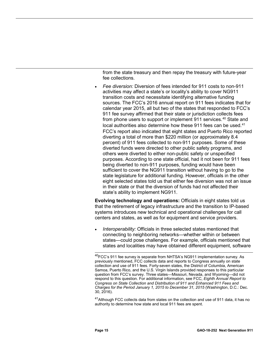from the state treasury and then repay the treasury with future-year fee collections.

• *Fee diversion:* Diversion of fees intended for 911 costs to non-911 activities may affect a state's or locality's ability to cover NG911 transition costs and necessitate identifying alternative funding sources. The FCC's 2016 annual report on 911 fees indicates that for calendar year 2015, all but two of the states that responded to FCC's 911 fee survey affirmed that their state or jurisdiction collects fees from phone users to support or implement 911 services.<sup>[40](#page-18-0)</sup> State and local authorities also determine how these 911 fees can be used.<sup>[41](#page-18-1)</sup> FCC's report also indicated that eight states and Puerto Rico reported diverting a total of more than \$220 million (or approximately 8.4 percent) of 911 fees collected to non-911 purposes. Some of these diverted funds were directed to other public safety programs, and others were diverted to either non-public safety or unspecified purposes. According to one state official, had it not been for 911 fees being diverted to non-911 purposes, funding would have been sufficient to cover the NG911 transition without having to go to the state legislature for additional funding. However, officials in the other eight selected states told us that either fee diversion was not an issue in their state or that the diversion of funds had not affected their state's ability to implement NG911.

**Evolving technology and operations:** Officials in eight states told us that the retirement of legacy infrastructure and the transition to IP-based systems introduces new technical and operational challenges for call centers and states, as well as for equipment and service providers.

• *Interoperability:* Officials in three selected states mentioned that connecting to neighboring networks—whether within or between states—could pose challenges. For example, officials mentioned that states and localities may have obtained different equipment, software

<span id="page-18-1"></span><sup>41</sup> Although FCC collects data from states on the collection and use of 911 data, it has no authority to determine how state and local 911 fees are spent.

<span id="page-18-0"></span><sup>&</sup>lt;sup>40</sup>FCC's 911 fee survey is separate from NHTSA's NG911 implementation survey. As previously mentioned, FCC collects data and reports to Congress annually on state collection and use of 911 fees. Forty-seven states, the District of Columbia, American Samoa, Puerto Rico, and the U.S. Virgin Islands provided responses to this particular question from FCC's survey. Three states—Missouri, Nevada, and Wyoming—did not respond to this question. For additional information, see FCC, *Eighth Annual Report to Congress on State Collection and Distribution of 911 and Enhanced 911 Fees and Charges for the Period January 1, 2015 to December 31, 2015* (Washington, D.C.: Dec. 30, 2016).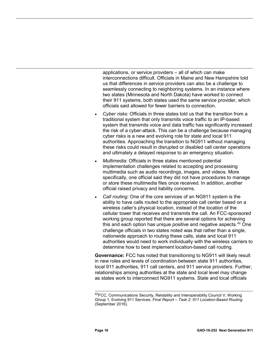applications, or service providers – all of which can make interconnections difficult. Officials in Maine and New Hampshire told us that differences in service providers can also be a challenge to seamlessly connecting to neighboring systems. In an instance where two states (Minnesota and North Dakota) have worked to connect their 911 systems, both states used the same service provider, which officials said allowed for fewer barriers to connection.

- *Cyber risks:* Officials in three states told us that the transition from a traditional system that only transmits voice traffic to an IP-based system that transmits voice and data traffic has significantly increased the risk of a cyber-attack. This can be a challenge because managing cyber risks is a new and evolving role for state and local 911 authorities. Approaching the transition to NG911 without managing these risks could result in disrupted or disabled call center operations and ultimately a delayed response to an emergency situation.
- *Multimedia:* Officials in three states mentioned potential implementation challenges related to accepting and processing multimedia such as audio recordings, images, and videos. More specifically, one official said they did not have procedures to manage or store these multimedia files once received. In addition, another official raised privacy and liability concerns.
- *Call routing:* One of the core services of an NG911 system is the ability to have calls routed to the appropriate call center based on a wireless caller's physical location, instead of the location of the cellular tower that receives and transmits the call. An FCC-sponsored working group reported that there are several options for achieving this and each option has unique positive and negative aspects.<sup>[42](#page-19-0)</sup> One challenge officials in two states noted was that rather than a single, nationwide approach to routing these calls, state and local 911 authorities would need to work individually with the wireless carriers to determine how to best implement location-based call routing.

**Governance:** FCC has noted that transitioning to NG911 will likely result in new roles and levels of coordination between state 911 authorities, local 911 authorities, 911 call centers, and 911 service providers. Further, relationships among authorities at the state and local level may change as states work to interconnect NG911 systems. State and local officials

<span id="page-19-0"></span><sup>&</sup>lt;sup>42</sup>FCC, Communications Security, Reliability and Interoperability Council V, Working Group 1, Evolving 911 Services, *Final Report – Task 2: 911 Location-Based Routing* (September 2016).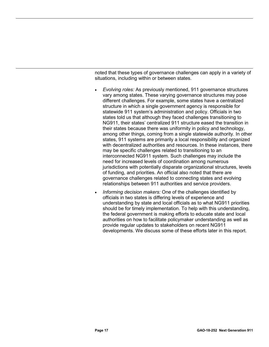noted that these types of governance challenges can apply in a variety of situations, including within or between states.

- *Evolving roles:* As previously mentioned, 911 governance structures vary among states. These varying governance structures may pose different challenges. For example, some states have a centralized structure in which a single government agency is responsible for statewide 911 system's administration and policy. Officials in two states told us that although they faced challenges transitioning to NG911, their states' centralized 911 structure eased the transition in their states because there was uniformity in policy and technology, among other things, coming from a single statewide authority. In other states, 911 systems are primarily a local responsibility and organized with decentralized authorities and resources. In these instances, there may be specific challenges related to transitioning to an interconnected NG911 system. Such challenges may include the need for increased levels of coordination among numerous jurisdictions with potentially disparate organizational structures, levels of funding, and priorities. An official also noted that there are governance challenges related to connecting states and evolving relationships between 911 authorities and service providers.
- *Informing decision makers:* One of the challenges identified by officials in two states is differing levels of experience and understanding by state and local officials as to what NG911 priorities should be for timely implementation. To help with this understanding, the federal government is making efforts to educate state and local authorities on how to facilitate policymaker understanding as well as provide regular updates to stakeholders on recent NG911 developments. We discuss some of these efforts later in this report.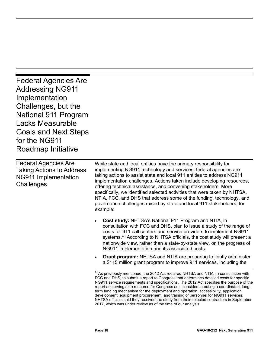<span id="page-21-1"></span><span id="page-21-0"></span>

| <b>Federal Agencies Are</b><br><b>Addressing NG911</b><br>Implementation<br>Challenges, but the<br>National 911 Program<br>Lacks Measurable<br><b>Goals and Next Steps</b><br>for the NG911<br>Roadmap Initiative |                                                                                                                                                                                                                                                                                                                                                                                                                                                                                                                                                                                                                                                                                                                                 |
|-------------------------------------------------------------------------------------------------------------------------------------------------------------------------------------------------------------------|---------------------------------------------------------------------------------------------------------------------------------------------------------------------------------------------------------------------------------------------------------------------------------------------------------------------------------------------------------------------------------------------------------------------------------------------------------------------------------------------------------------------------------------------------------------------------------------------------------------------------------------------------------------------------------------------------------------------------------|
| <b>Federal Agencies Are</b><br><b>Taking Actions to Address</b><br>NG911 Implementation<br>Challenges                                                                                                             | While state and local entities have the primary responsibility for<br>implementing NG911 technology and services, federal agencies are<br>taking actions to assist state and local 911 entities to address NG911<br>implementation challenges. Actions taken include developing resources,<br>offering technical assistance, and convening stakeholders. More<br>specifically, we identified selected activities that were taken by NHTSA,<br>NTIA, FCC, and DHS that address some of the funding, technology, and<br>governance challenges raised by state and local 911 stakeholders, for<br>example:                                                                                                                         |
|                                                                                                                                                                                                                   | Cost study: NHTSA's National 911 Program and NTIA, in<br>consultation with FCC and DHS, plan to issue a study of the range of<br>costs for 911 call centers and service providers to implement NG911<br>systems. <sup>43</sup> According to NHTSA officials, the cost study will present a<br>nationwide view, rather than a state-by-state view, on the progress of<br>NG911 implementation and its associated costs.                                                                                                                                                                                                                                                                                                          |
|                                                                                                                                                                                                                   | Grant program: NHTSA and NTIA are preparing to jointly administer<br>a \$115 million grant program to improve 911 services, including the                                                                                                                                                                                                                                                                                                                                                                                                                                                                                                                                                                                       |
|                                                                                                                                                                                                                   | <sup>43</sup> As previously mentioned, the 2012 Act required NHTSA and NTIA, in consultation with<br>FCC and DHS, to submit a report to Congress that determines detailed costs for specific<br>NG911 service requirements and specifications. The 2012 Act specifies the purpose of the<br>report as serving as a resource for Congress as it considers creating a coordinated, long-<br>term funding mechanism for the deployment and operation, accessibility, application<br>development, equipment procurement, and training of personnel for NG911 services.<br>NHTSA officials said they received the study from their selected contractors in September<br>2017, which was under review as of the time of our analysis. |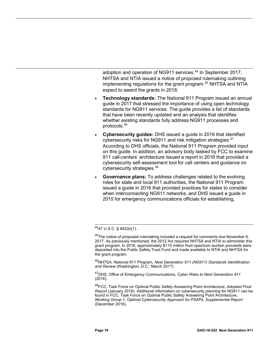adoption and operation of NG911 services.<sup>[44](#page-22-0)</sup> In September 2017, NHTSA and NTIA issued a notice of proposed rulemaking outlining implementing regulations for the grant program.<sup>[45](#page-22-1)</sup> NHTSA and NTIA expect to award the grants in 2018.

- **Technology standards:** The National 911 Program issued an annual guide in 2017 that stressed the importance of using open technology standards for NG911 services. The guide provides a list of standards that have been recently updated and an analysis that identifies whether existing standards fully address NG911 processes and protocols.[46](#page-22-2)
- **Cybersecurity guides:** DHS issued a guide in 2016 that identified cybersecurity risks for NG911 and risk mitigation strategies.<sup>[47](#page-22-3)</sup> According to DHS officials, the National 911 Program provided input on this guide. In addition, an advisory body tasked by FCC to examine 911 call-centers' architecture issued a report in 2016 that provided a cybersecurity self-assessment tool for call centers and guidance on cybersecurity strategies.[48](#page-22-4)
- **Governance plans:** To address challenges related to the evolving roles for state and local 911 authorities, the National 911 Program issued a guide in 2016 that provided practices for states to consider when interconnecting NG911 networks, and DHS issued a guide in 2015 for emergency communications officials for establishing,

<span id="page-22-2"></span>46NHTSA, National 911 Program, *Next Generation 911 (NG911) Standards Identification and Review* (Washington, D.C.: March 2017).

<span id="page-22-3"></span>47DHS, Office of Emergency Communications, *Cyber Risks to Next Generation 911* (2016).

<span id="page-22-4"></span>48FCC, Task Force on Optimal Public Safety Answering Point Architecture, *Adopted Final Report* (January 2016). Additional information on cybersecurity planning for NG911 can be found in FCC, Task Force on Optimal Public Safety Answering Point Architecture, *Working Group 1, Optimal Cybersecurity Approach for PSAPs, Supplemental Report* (December 2016).

<span id="page-22-0"></span> <sup>4447</sup> U.S.C. § 942(b)(1).

<span id="page-22-1"></span> $45$ The notice of proposed rulemaking included a request for comments due November 6, 2017. As previously mentioned, the 2012 Act required NHTSA and NTIA to administer this grant program. In 2016, approximately \$115 million from spectrum auction proceeds were deposited into the Public Safety Trust Fund and made available to NTIA and NHTSA for the grant program.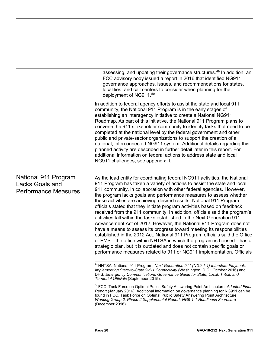<span id="page-23-1"></span><span id="page-23-0"></span>

|                                                                        | assessing, and updating their governance structures. <sup>49</sup> In addition, an<br>FCC advisory body issued a report in 2016 that identified NG911<br>governance approaches, issues, and recommendations for states,<br>localities, and call centers to consider when planning for the<br>deployment of NG911.50                                                                                                                                                                                                                                                                                                                                                                                                                                                                                                                                                                                                                                                                                                                                                               |
|------------------------------------------------------------------------|-----------------------------------------------------------------------------------------------------------------------------------------------------------------------------------------------------------------------------------------------------------------------------------------------------------------------------------------------------------------------------------------------------------------------------------------------------------------------------------------------------------------------------------------------------------------------------------------------------------------------------------------------------------------------------------------------------------------------------------------------------------------------------------------------------------------------------------------------------------------------------------------------------------------------------------------------------------------------------------------------------------------------------------------------------------------------------------|
|                                                                        | In addition to federal agency efforts to assist the state and local 911<br>community, the National 911 Program is in the early stages of<br>establishing an interagency initiative to create a National NG911<br>Roadmap. As part of this initiative, the National 911 Program plans to<br>convene the 911 stakeholder community to identify tasks that need to be<br>completed at the national level by the federal government and other<br>public and private-sector organizations to support the creation of a<br>national, interconnected NG911 system. Additional details regarding this<br>planned activity are described in further detail later in this report. For<br>additional information on federal actions to address state and local<br>NG911 challenges, see appendix II.                                                                                                                                                                                                                                                                                         |
| National 911 Program<br>Lacks Goals and<br><b>Performance Measures</b> | As the lead entity for coordinating federal NG911 activities, the National<br>911 Program has taken a variety of actions to assist the state and local<br>911 community, in collaboration with other federal agencies. However,<br>the program lacks goals and performance measures to assess whether<br>these activities are achieving desired results. National 911 Program<br>officials stated that they initiate program activities based on feedback<br>received from the 911 community. In addition, officials said the program's<br>activities fall within the tasks established in the Next Generation 911<br>Advancement Act of 2012. However, the National 911 Program does not<br>have a means to assess its progress toward meeting its responsibilities<br>established in the 2012 Act. National 911 Program officials said the Office<br>of EMS-the office within NHTSA in which the program is housed-has a<br>strategic plan, but it is outdated and does not contain specific goals or<br>performance measures related to 911 or NG911 implementation. Officials |
|                                                                        | <sup>49</sup> NHTSA, National 911 Program, Next Generation 911 (NG9-1-1) Interstate Playbook:<br>Implementing State-to-State 9-1-1 Connectivity (Washington, D.C.: October 2016) and<br>DHS, Emergency Communications Governance Guide for State, Local, Tribal, and<br>Territorial Officials (September 2015).                                                                                                                                                                                                                                                                                                                                                                                                                                                                                                                                                                                                                                                                                                                                                                   |
|                                                                        | <sup>50</sup> FCC, Task Force on Optimal Public Safety Answering Point Architecture, Adopted Final<br>Report (January 2016). Additional information on governance planning for NG911 can be<br>found in FCC, Task Force on Optimal Public Safety Answering Point Architecture,<br>Working Group 2, Phase II Supplemental Report: NG9-1-1 Readiness Scorecard<br>(December 2016).                                                                                                                                                                                                                                                                                                                                                                                                                                                                                                                                                                                                                                                                                                  |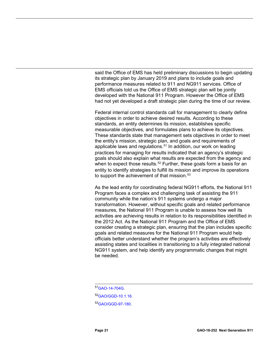said the Office of EMS has held preliminary discussions to begin updating its strategic plan by January 2019 and plans to include goals and performance measures related to 911 and NG911 services. Office of EMS officials told us the Office of EMS strategic plan will be jointly developed with the National 911 Program. However the Office of EMS had not yet developed a draft strategic plan during the time of our review.

Federal internal control standards call for management to clearly define objectives in order to achieve desired results. According to these standards, an entity determines its mission, establishes specific measurable objectives, and formulates plans to achieve its objectives. These standards state that management sets objectives in order to meet the entity's mission, strategic plan, and goals and requirements of applicable laws and regulations.<sup>[51](#page-24-0)</sup> In addition, our work on leading practices for managing for results indicated that an agency's strategic goals should also explain what results are expected from the agency and when to expect those results. $52$  Further, these goals form a basis for an entity to identify strategies to fulfill its mission and improve its operations to support the achievement of that mission.<sup>[53](#page-24-2)</sup>

As the lead entity for coordinating federal NG911 efforts, the National 911 Program faces a complex and challenging task of assisting the 911 community while the nation's 911 systems undergo a major transformation. However, without specific goals and related performance measures, the National 911 Program is unable to assess how well its activities are achieving results in relation to its responsibilities identified in the 2012 Act. As the National 911 Program and the Office of EMS consider creating a strategic plan, ensuring that the plan includes specific goals and related measures for the National 911 Program would help officials better understand whether the program's activities are effectively assisting states and localities in transitioning to a fully integrated national NG911 system, and help identify any programmatic changes that might be needed.

<span id="page-24-0"></span><sup>&</sup>lt;sup>51</sup>GAO-14-704G.

<sup>52&</sup>lt;sub>GAO/GGD-10.1.16</sub>

<span id="page-24-2"></span><span id="page-24-1"></span><sup>&</sup>lt;sup>53</sup>GAO/GGD-97-180.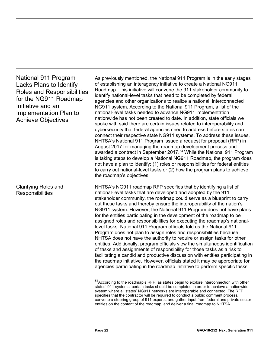National 911 Program Lacks Plans to Identify Roles and Responsibilities for the NG911 Roadmap Initiative and an Implementation Plan to Achieve Objectives

#### Clarifying Roles and **Responsibilities**

As previously mentioned, the National 911 Program is in the early stages of establishing an interagency initiative to create a National NG911 Roadmap. This initiative will convene the 911 stakeholder community to identify national-level tasks that need to be completed by federal agencies and other organizations to realize a national, interconnected NG911 system. According to the National 911 Program, a list of the national-level tasks needed to advance NG911 implementation nationwide has not been created to date. In addition, state officials we spoke with said there are certain issues related to interoperability and cybersecurity that federal agencies need to address before states can connect their respective state NG911 systems. To address these issues, NHTSA's National 911 Program issued a request for proposal (RFP) in August 2017 for managing the roadmap development process and awarded a contract in September 2017.<sup>[54](#page-25-0)</sup> While the National 911 Program is taking steps to develop a National NG911 Roadmap, the program does not have a plan to identify: (1) roles or responsibilities for federal entities to carry out national-level tasks or (2) how the program plans to achieve the roadmap's objectives.

NHTSA's NG911 roadmap RFP specifies that by identifying a list of national-level tasks that are developed and adopted by the 911 stakeholder community, the roadmap could serve as a blueprint to carry out these tasks and thereby ensure the interoperability of the nation's NG911 system. However, the National 911 Program does not have plans for the entities participating in the development of the roadmap to be assigned roles and responsibilities for executing the roadmap's nationallevel tasks. National 911 Program officials told us the National 911 Program does not plan to assign roles and responsibilities because NHTSA does not have the authority to require or assign tasks for other entities. Additionally, program officials view the simultaneous identification of tasks and assignments of responsibility for those tasks as a risk to facilitating a candid and productive discussion with entities participating in the roadmap initiative. However, officials stated it may be appropriate for agencies participating in the roadmap initiative to perform specific tasks

<span id="page-25-0"></span> <sup>54</sup>According to the roadmap's RFP, as states begin to explore interconnection with other states' 911 systems, certain tasks should be completed in order to achieve a nationwide system where all states' NG911 networks are interoperable and connected. The RFP specifies that the contractor will be required to conduct a public comment process, convene a steering group of 911 experts, and gather input from federal and private sector entities on the content of the roadmap, and deliver a final roadmap to NHTSA.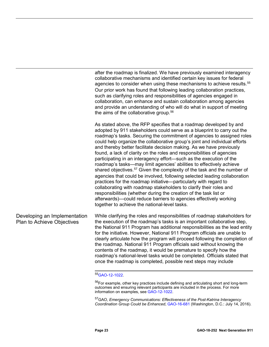after the roadmap is finalized. We have previously examined interagency collaborative mechanisms and identified certain key issues for federal agencies to consider when using these mechanisms to achieve results.<sup>[55](#page-26-0)</sup> Our prior work has found that following leading collaboration practices, such as clarifying roles and responsibilities of agencies engaged in collaboration, can enhance and sustain collaboration among agencies and provide an understanding of who will do what in support of meeting the aims of the collaborative group.<sup>[56](#page-26-1)</sup>

As stated above, the RFP specifies that a roadmap developed by and adopted by 911 stakeholders could serve as a blueprint to carry out the roadmap's tasks. Securing the commitment of agencies to assigned roles could help organize the collaborative group's joint and individual efforts and thereby better facilitate decision making. As we have previously found, a lack of clarity on the roles and responsibilities of agencies participating in an interagency effort—such as the execution of the roadmap's tasks—may limit agencies' abilities to effectively achieve shared objectives.<sup>[57](#page-26-2)</sup> Given the complexity of the task and the number of agencies that could be involved, following selected leading collaboration practices for the roadmap initiative—particularly with regard to collaborating with roadmap stakeholders to clarify their roles and responsibilities (whether during the creation of the task list or afterwards)—could reduce barriers to agencies effectively working together to achieve the national-level tasks.

<span id="page-26-2"></span><span id="page-26-1"></span><span id="page-26-0"></span>While clarifying the roles and responsibilities of roadmap stakeholders for the execution of the roadmap's tasks is an important collaborative step, the National 911 Program has additional responsibilities as the lead entity for the initiative. However, National 911 Program officials are unable to clearly articulate how the program will proceed following the completion of the roadmap. National 911 Program officials said without knowing the contents of the roadmap, it would be premature to specify how the roadmap's national-level tasks would be completed. Officials stated that once the roadmap is completed, possible next steps may include Developing an Implementation Plan to Achieve Objectives

#### 55<sub>GAO-12-1022.</sub>

<sup>56</sup>For example, other key practices include defining and articulating short and long-term outcomes and ensuring relevant participants are included in the process. For more information on examples, see [GAO-12-1022.](http://www.gao.gov/products/GAO-12-1022)

57GAO, *Emergency Communications: Effectiveness of the Post-Katrina Interagency Coordination Group Could be Enhanced*, [GAO-16-681 \(](http://www.gao.gov/products/GAO-16-681)Washington, D.C.: July 14, 2016).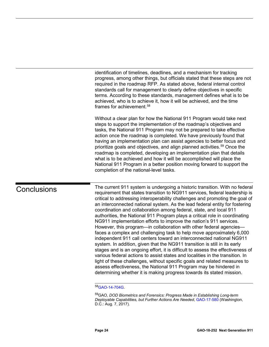identification of timelines, deadlines, and a mechanism for tracking progress, among other things, but officials stated that these steps are not required in the roadmap RFP. As stated above, federal internal control standards call for management to clearly define objectives in specific terms. According to these standards, management defines what is to be achieved, who is to achieve it, how it will be achieved, and the time frames for achievement.<sup>[58](#page-27-1)</sup>

Without a clear plan for how the National 911 Program would take next steps to support the implementation of the roadmap's objectives and tasks, the National 911 Program may not be prepared to take effective action once the roadmap is completed. We have previously found that having an implementation plan can assist agencies to better focus and prioritize goals and objectives, and align planned activities.<sup>[59](#page-27-2)</sup> Once the roadmap is completed, developing an implementation plan that details what is to be achieved and how it will be accomplished will place the National 911 Program in a better position moving forward to support the completion of the national-level tasks.

## <span id="page-27-0"></span>**Conclusions**

The current 911 system is undergoing a historic transition. With no federal requirement that states transition to NG911 services, federal leadership is critical to addressing interoperability challenges and promoting the goal of an interconnected national system. As the lead federal entity for fostering coordination and collaboration among federal, state, and local 911 authorities, the National 911 Program plays a critical role in coordinating NG911 implementation efforts to improve the nation's 911 services. However, this program—in collaboration with other federal agencies faces a complex and challenging task to help move approximately 6,000 independent 911 call centers toward an interconnected national NG911 system. In addition, given that the NG911 transition is still in its early stages and is an ongoing effort, it is difficult to assess the effectiveness of various federal actions to assist states and localities in the transition. In light of these challenges, without specific goals and related measures to assess effectiveness, the National 911 Program may be hindered in determining whether it is making progress towards its stated mission.

<span id="page-27-1"></span> [<sup>58</sup>GAO-14-704G.](http://www.gao.gov/products/GAO-14-704G)

<span id="page-27-2"></span><sup>59</sup>GAO, *DOD Biometrics and Forensics: Progress Made in Establishing Long-term Deployable Capabilities, but Further Actions Are Needed*[, GAO-17-580 \(](http://www.gao.gov/products/GAO-17-580)Washington, D.C.: Aug. 7, 2017).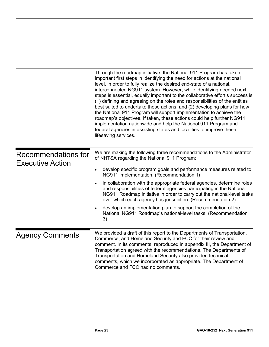<span id="page-28-1"></span><span id="page-28-0"></span>

|                                                | Through the roadmap initiative, the National 911 Program has taken<br>important first steps in identifying the need for actions at the national<br>level, in order to fully realize the desired end-state of a national,<br>interconnected NG911 system. However, while identifying needed next<br>steps is essential, equally important to the collaborative effort's success is<br>(1) defining and agreeing on the roles and responsibilities of the entities<br>best suited to undertake these actions, and (2) developing plans for how<br>the National 911 Program will support implementation to achieve the<br>roadmap's objectives. If taken, these actions could help further NG911<br>implementation nationwide and help the National 911 Program and<br>federal agencies in assisting states and localities to improve these<br>lifesaving services. |  |
|------------------------------------------------|------------------------------------------------------------------------------------------------------------------------------------------------------------------------------------------------------------------------------------------------------------------------------------------------------------------------------------------------------------------------------------------------------------------------------------------------------------------------------------------------------------------------------------------------------------------------------------------------------------------------------------------------------------------------------------------------------------------------------------------------------------------------------------------------------------------------------------------------------------------|--|
| Recommendations for<br><b>Executive Action</b> | We are making the following three recommendations to the Administrator<br>of NHTSA regarding the National 911 Program:<br>develop specific program goals and performance measures related to<br>$\bullet$<br>NG911 implementation. (Recommendation 1)<br>in collaboration with the appropriate federal agencies, determine roles<br>and responsibilities of federal agencies participating in the National<br>NG911 Roadmap initiative in order to carry out the national-level tasks<br>over which each agency has jurisdiction. (Recommendation 2)<br>develop an implementation plan to support the completion of the<br>National NG911 Roadmap's national-level tasks. (Recommendation<br>3)                                                                                                                                                                  |  |
| <b>Agency Comments</b>                         | We provided a draft of this report to the Departments of Transportation,<br>Commerce, and Homeland Security and FCC for their review and<br>comment. In its comments, reproduced in appendix III, the Department of<br>Transportation agreed with the recommendations. The Departments of<br>Transportation and Homeland Security also provided technical<br>comments, which we incorporated as appropriate. The Department of<br>Commerce and FCC had no comments.                                                                                                                                                                                                                                                                                                                                                                                              |  |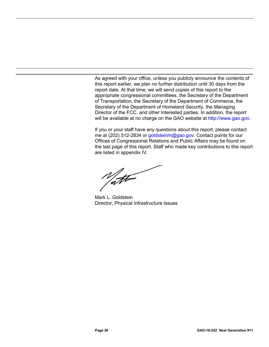As agreed with your office, unless you publicly announce the contents of this report earlier, we plan no further distribution until 30 days from the report date. At that time, we will send copies of this report to the appropriate congressional committees, the Secretary of the Department of Transportation, the Secretary of the Department of Commerce, the Secretary of the Department of Homeland Security, the Managing Director of the FCC, and other interested parties. In addition, the report will be available at no charge on the GAO website at [http://www.gao.gov.](http://www.gao.gov/)

If you or your staff have any questions about this report, please contact me at (202) 512-2834 or [goldsteinm@gao.gov.](mailto:goldsteinm@gao.gov) Contact points for our Offices of Congressional Relations and Public Affairs may be found on the last page of this report. Staff who made key contributions to this report are listed in appendix IV.

Natt

Mark L. Goldstein Director, Physical Infrastructure Issues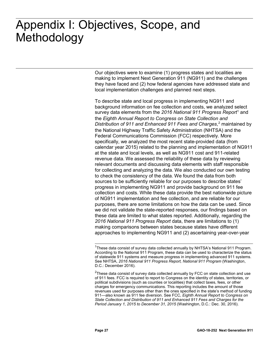## <span id="page-30-0"></span> $\mathbf{A}$ Iec II Appendix I: Objectives, Scope, and Methodology

Our objectives were to examine (1) progress states and localities are making to implement Next Generation 911 (NG911) and the challenges they have faced and (2) how federal agencies have addressed state and local implementation challenges and planned next steps.

To describe state and local progress in implementing NG911 and background information on fee collection and costs, we analyzed select survey data elements from the *2016 National 911 Progress Report*[1](#page-30-1) and the *Eighth Annual Report to Congress on State Collection and Distribution of 911 and Enhanced 911 Fees and Charges*, [2](#page-30-2) maintained by the National Highway Traffic Safety Administration (NHTSA) and the Federal Communications Commission (FCC) respectively. More specifically, we analyzed the most recent state-provided data (from calendar year 2015) related to the planning and implementation of NG911 at the state and local levels, as well as NG911 cost and 911-related revenue data. We assessed the reliability of these data by reviewing relevant documents and discussing data elements with staff responsible for collecting and analyzing the data. We also conducted our own testing to check the consistency of the data. We found the data from both sources to be sufficiently reliable for our purposes to describe states' progress in implementing NG911 and provide background on 911 fee collection and costs. While these data provide the best nationwide picture of NG911 implementation and fee collection, and are reliable for our purposes, there are some limitations on how the data can be used. Since we did not validate the state-reported responses, our findings based on these data are limited to what states reported. Additionally, regarding the *2016 National 911 Progress Report* data, there are limitations to (1) making comparisons between states because states have different approaches to implementing NG911 and (2) ascertaining year-over-year

<span id="page-30-1"></span><sup>&</sup>lt;sup>1</sup>These data consist of survey data collected annually by NHTSA's National 911 Program. According to the National 911 Program, these data can be used to characterize the status of statewide 911 systems and measure progress in implementing advanced 911 systems. See NHTSA, *2016 National 911 Progress Report, National 911 Program* (Washington, D.C.: December 2016).

<span id="page-30-2"></span> $2$ These data consist of survey data collected annually by FCC on state collection and use of 911 fees. FCC is required to report to Congress on the identity of states, territories, or political subdivisions (such as counties or localities) that collect taxes, fees, or other charges for emergency communications. This reporting includes the amount of those revenues used for purposes other than the ones specified in the state's method of funding 911—also known as 911 fee diversion. See FCC, *Eighth Annual Report to Congress on State Collection and Distribution of 911 and Enhanced 911 Fees and Charges for the Period January 1, 2015 to December 31, 2015* (Washington, D.C.: Dec. 30, 2016).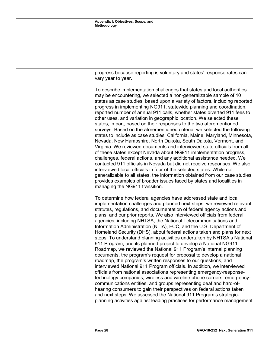progress because reporting is voluntary and states' response rates can vary year to year.

To describe implementation challenges that states and local authorities may be encountering, we selected a non-generalizable sample of 10 states as case studies, based upon a variety of factors, including reported progress in implementing NG911, statewide planning and coordination, reported number of annual 911 calls, whether states diverted 911 fees to other uses, and variation in geographic location. We selected these states, in part, based on their responses to the two aforementioned surveys. Based on the aforementioned criteria, we selected the following states to include as case studies: California, Maine, Maryland, Minnesota, Nevada, New Hampshire, North Dakota, South Dakota, Vermont, and Virginia. We reviewed documents and interviewed state officials from all of these states except Nevada about NG911 implementation progress, challenges, federal actions, and any additional assistance needed. We contacted 911 officials in Nevada but did not receive responses. We also interviewed local officials in four of the selected states. While not generalizable to all states, the information obtained from our case studies provides examples of broader issues faced by states and localities in managing the NG911 transition.

To determine how federal agencies have addressed state and local implementation challenges and planned next steps, we reviewed relevant statutes, regulations, and documentation of federal agency actions and plans, and our prior reports. We also interviewed officials from federal agencies, including NHTSA, the National Telecommunications and Information Administration (NTIA), FCC, and the U.S. Department of Homeland Security (DHS), about federal actions taken and plans for next steps. To understand planning activities undertaken by NHTSA's National 911 Program, and its planned project to develop a National NG911 Roadmap, we reviewed the National 911 Program's internal planning documents, the program's request for proposal to develop a national roadmap, the program's written responses to our questions, and interviewed National 911 Program officials. In addition, we interviewed officials from national associations representing emergency-responsetechnology companies, wireless and wireline phone carriers, emergencycommunications entities, and groups representing deaf and hard-ofhearing consumers to gain their perspectives on federal actions taken and next steps. We assessed the National 911 Program's strategicplanning activities against leading practices for performance management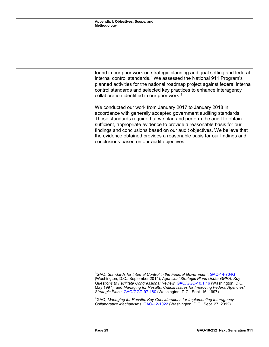found in our prior work on strategic planning and goal setting and federal internal control standards. $3$  We assessed the National 911 Program's planned activities for the national roadmap project against federal internal control standards and selected key practices to enhance interagency collaboration identified in our prior work.[4](#page-32-1)

We conducted our work from January 2017 to January 2018 in accordance with generally accepted government auditing standards. Those standards require that we plan and perform the audit to obtain sufficient, appropriate evidence to provide a reasonable basis for our findings and conclusions based on our audit objectives. We believe that the evidence obtained provides a reasonable basis for our findings and conclusions based on our audit objectives.

<span id="page-32-0"></span> <sup>3</sup> GAO, *Standards for Internal Control in the Federal Government*[, GAO-14-704G](http://www.gao.gov/products/GAO-14-704G)  (Washington, D.C.: September 2014); *Agencies' Strategic Plans Under GPRA: Key Questions to Facilitate Congressional Review,* [GAO/GGD-10.1.16 \(](http://www.gao.gov/products/GAO/GGD-10.1.16)Washington, D.C.: May 1997); and *Managing for Results: Critical Issues for Improving Federal Agencies' Strategic Plans*[, GAO/GGD-97-180 \(](http://www.gao.gov/products/GAO/GGD-97-180)Washington, D.C.: Sept. 16, 1997).

<span id="page-32-1"></span><sup>4</sup> GAO, *Managing for Results: Key Considerations for Implementing Interagency Collaborative Mechanisms*[, GAO-12-1022 \(](http://www.gao.gov/products/GAO-12-1022)Washington, D.C.: Sept. 27, 2012).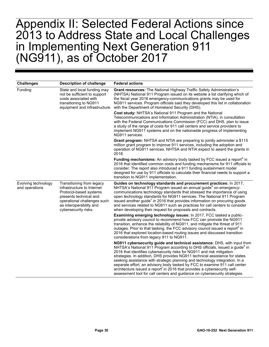## <span id="page-33-0"></span>**Appendix II: Selected Federal Actions since**  Appendix II: Selected Federal Actions since **Implementing Next Generation 911 (NG911), as of October 2017** 2013 to Address State and Local Challenges in Implementing Next Generation 911 (NG911), as of October 2017

| <b>Challenges</b>                     | <b>Description of challenge</b>                                                                                                                                                               | <b>Federal actions</b>                                                                                                                                                                                                                                                                                                                                                                                                                                                                                                                                                                                                                                           |  |
|---------------------------------------|-----------------------------------------------------------------------------------------------------------------------------------------------------------------------------------------------|------------------------------------------------------------------------------------------------------------------------------------------------------------------------------------------------------------------------------------------------------------------------------------------------------------------------------------------------------------------------------------------------------------------------------------------------------------------------------------------------------------------------------------------------------------------------------------------------------------------------------------------------------------------|--|
| Funding                               | State and local funding may<br>not be sufficient to support<br>costs associated with<br>transitioning to NG911                                                                                | Grant resources: The National Highway Traffic Safety Administration's<br>(NHTSA) National 911 Program issued on its website a list clarifying which of<br>the fiscal year 2016 emergency-communications grants may be used for<br>NG911 services. Program officials said they developed this list in collaboration<br>equipment and infrastructure. with the Department of Homeland Security (DHS).                                                                                                                                                                                                                                                              |  |
|                                       |                                                                                                                                                                                               | Cost study: NHTSA's National 911 Program and the National<br>Telecommunications and Information Administration (NTIA), in consultation<br>with the Federal Communications Commission (FCC) and DHS, plan to issue<br>a study of the range of costs for 911 call centers and service providers to<br>implement NG911 systems and on the nationwide progress of implementing<br>NG911 services.                                                                                                                                                                                                                                                                    |  |
|                                       |                                                                                                                                                                                               | Grant program: NHTSA and NTIA are preparing to jointly administer a \$115<br>million grant program to improve 911 services, including the adoption and<br>operation of NG911 services. NHTSA and NTIA expect to award the grants in<br>2018.                                                                                                                                                                                                                                                                                                                                                                                                                     |  |
|                                       |                                                                                                                                                                                               | <b>Funding mechanisms:</b> An advisory body tasked by FCC issued a report <sup>a</sup> in<br>2016 that identified common costs and funding mechanisms for 911 officials to<br>consider. The report also introduced a 911 funding sustainment model<br>designed for use by 911 officials to calculate their financial needs to support a<br>transition to NG911 implementation.                                                                                                                                                                                                                                                                                   |  |
| Evolving technology<br>and operations | Transitioning from legacy<br>infrastructure to Internet<br>Protocol-based systems<br>presents technical and<br>operational challenges such<br>as interoperability and<br>cybersecurity risks. | Guides on technology standards and procurement practices: In 2017,<br>NHTSA's National 911 Program issued an annual guide <sup>b</sup> on emergency-<br>communications technology standards that stressed the importance of using<br>open technology standards for NG911 services. The National 911 Program<br>issued another guide <sup>c</sup> in 2016 that provides information on procuring goods<br>and services related to NG911 such as practices for call centers to consider<br>when developing their request for proposals and contracts.                                                                                                              |  |
|                                       |                                                                                                                                                                                               | Examining emerging technology issues: In 2017, FCC tasked a public-<br>private advisory council to recommend how FCC can promote the NG911<br>transition, enhance the reliability of NG911, and mitigate the threat of 911<br>outages. Prior to that tasking, the FCC advisory council issued a report <sup>a</sup> in<br>2016 that explored location-based routing issues and discussed transition<br>considerations from legacy 911 to NG911.                                                                                                                                                                                                                  |  |
|                                       |                                                                                                                                                                                               | NG911 cybersecurity guide and technical assistance: DHS, with input from<br>NHTSA's National 911 Program according to DHS officials, issued a guide <sup>e</sup> in<br>2016 that identifies cybersecurity risks for NG911 and risk mitigation<br>strategies. In addition, DHS provides NG911 technical assistance for states<br>seeking assistance with strategic planning and technology integration. In a<br>separate effort, an advisory body tasked by FCC to examine 911 call center<br>architecture issued a report <sup>†</sup> in 2016 that provides a cybersecurity self-<br>assessment tool for call centers and guidance on cybersecurity strategies. |  |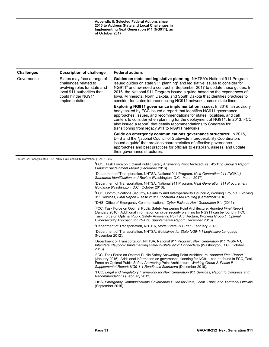| <b>Challenges</b> | Description of challenge                                                                                                                                   | <b>Federal actions</b>                                                                                                                                                                                                                                                                                                                                                                                                                                                                             |
|-------------------|------------------------------------------------------------------------------------------------------------------------------------------------------------|----------------------------------------------------------------------------------------------------------------------------------------------------------------------------------------------------------------------------------------------------------------------------------------------------------------------------------------------------------------------------------------------------------------------------------------------------------------------------------------------------|
| Governance        | States may face a range of<br>challenges related to<br>evolving roles for state and<br>local 911 authorities that<br>could hinder NG911<br>implementation. | Guides on state and legislative planning: NHTSA's National 911 Program<br>issued guides on state 911 planning <sup>9</sup> and legislative issues to consider for<br>NG911 <sup>h</sup> and awarded a contract in September 2017 to update those guides. In<br>2016, the National 911 Program issued a guide based on the experiences of<br>Iowa, Minnesota, North Dakota, and South Dakota that identifies practices to<br>consider for states interconnecting NG911 networks across state lines. |
|                   |                                                                                                                                                            | Exploring NG911 governance implementation issues: In 2016, an advisory<br>body tasked by FCC issued a report that identifies NG911 governance<br>approaches, issues, and recommendations for states, localities, and call<br>centers to consider when planning for the deployment of NG911. In 2013, FCC<br>also issued a report <sup>k</sup> that details recommendations to Congress for<br>transitioning from legacy 911 to NG911 networks.                                                     |
|                   |                                                                                                                                                            | Guide on emergency communications governance structures: In 2015,<br>DHS and the National Council of Statewide Interoperability Coordinators<br>issued a quide that provides characteristics of effective governance<br>approaches and best practices for officials to establish, assess, and update<br>their governance structures.                                                                                                                                                               |
|                   | Source: GAO analysis of NHTSA, NTIA, FCC, and DHS information.   GAO-18-252                                                                                |                                                                                                                                                                                                                                                                                                                                                                                                                                                                                                    |
|                   |                                                                                                                                                            | <sup>a</sup> FCC, Task Force on Optimal Public Safety Answering Point Architecture, <i>Working Group 3 Report:</i><br>Funding Sustainment Model (December 2016).                                                                                                                                                                                                                                                                                                                                   |
|                   |                                                                                                                                                            | <sup>b</sup> Department of Transportation, NHTSA, National 911 Program, Next Generation 911 (NG911)<br>Standards Identification and Review (Washington, D.C.: March 2017).                                                                                                                                                                                                                                                                                                                         |
|                   |                                                                                                                                                            | <sup>c</sup> Department of Transportation, NHTSA, National 911 Program, Next Generation 911 Procurement<br>Guidance (Washington, D.C.: October 2016).                                                                                                                                                                                                                                                                                                                                              |
|                   |                                                                                                                                                            | <sup>d</sup> FCC, Communications Security, Reliability and Interoperability Council V, Working Group 1, Evolving<br>911 Services, Final Report - Task 2: 911 Location-Based Routing (September 2016).                                                                                                                                                                                                                                                                                              |
|                   |                                                                                                                                                            | <sup>e</sup> DHS, Office of Emergency Communications, Cyber Risks to Next Generation 911 (2016).                                                                                                                                                                                                                                                                                                                                                                                                   |
|                   |                                                                                                                                                            | <sup>1</sup> FCC, Task Force on Optimal Public Safety Answering Point Architecture, Adopted Final Report<br>(January 2016). Additional information on cybersecurity planning for NG911 can be found in FCC,<br>Task Force on Optimal Public Safety Answering Point Architecture, Working Group 1, Optimal<br>Cybersecurity Approach for PSAPs, Supplemental Report (December 2016).                                                                                                                |
|                   |                                                                                                                                                            | <sup>9</sup> Department of Transportation, NHTSA, Model State 911 Plan (February 2013).                                                                                                                                                                                                                                                                                                                                                                                                            |
|                   | (November 2012).                                                                                                                                           | <sup>h</sup> Department of Transportation, NHTSA, Guidelines for State NG9-1-1 Legislative Language                                                                                                                                                                                                                                                                                                                                                                                                |
|                   | 2016).                                                                                                                                                     | <sup>i</sup> Department of Transportation, NHTSA, National 911 Program, Next Generation 911 (NG9-1-1)<br>Interstate Playbook: Implementing State-to-State 9-1-1 Connectivity (Washington, D.C.: October                                                                                                                                                                                                                                                                                            |
|                   |                                                                                                                                                            | <sup>j</sup> FCC, Task Force on Optimal Public Safety Answering Point Architecture, Adopted Final Report<br>(January 2016). Additional information on governance planning for NG911 can be found in FCC, Task<br>Force on Optimal Public Safety Answering Point Architecture, Working Group 2, Phase II<br>Supplemental Report: NG9-1-1 Readiness Scorecard (December 2016).                                                                                                                       |
|                   |                                                                                                                                                            | <sup>k</sup> FCC, Legal and Regulatory Framework for Next Generation 911 Services, Report to Congress and<br>Recommendations (February 2013).                                                                                                                                                                                                                                                                                                                                                      |
|                   | (September 2015).                                                                                                                                          | 'DHS, Emergency Communications Governance Guide for State, Local, Tribal, and Territorial Officials                                                                                                                                                                                                                                                                                                                                                                                                |
|                   |                                                                                                                                                            |                                                                                                                                                                                                                                                                                                                                                                                                                                                                                                    |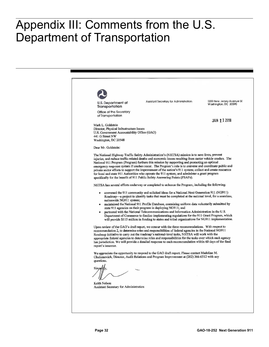## <span id="page-35-0"></span>**Appendix III: Comments from the U.S. Department of Transportation** Appendix III: Comments from the U.S. Department of Transportation

| U.S. Department of<br>Transportation                                                                                                                    | Assistant Secretary for Administration                                                                                                                                                                                                                                                                                                                                                                                                                                                                                                                                                                                                                                                                              | 1200 New Jersey Avenue SE<br>Washington, DC 20590 |
|---------------------------------------------------------------------------------------------------------------------------------------------------------|---------------------------------------------------------------------------------------------------------------------------------------------------------------------------------------------------------------------------------------------------------------------------------------------------------------------------------------------------------------------------------------------------------------------------------------------------------------------------------------------------------------------------------------------------------------------------------------------------------------------------------------------------------------------------------------------------------------------|---------------------------------------------------|
| Office of the Secretary<br>of Transportation                                                                                                            |                                                                                                                                                                                                                                                                                                                                                                                                                                                                                                                                                                                                                                                                                                                     |                                                   |
|                                                                                                                                                         |                                                                                                                                                                                                                                                                                                                                                                                                                                                                                                                                                                                                                                                                                                                     | <b>JAN 112018</b>                                 |
| Mark L. Goldstein<br>Director, Physical Infrastructure Issues<br>U.S. Government Accountability Office (GAO)<br>441 G Street NW<br>Washington, DC 20548 |                                                                                                                                                                                                                                                                                                                                                                                                                                                                                                                                                                                                                                                                                                                     |                                                   |
| Dear Mr. Goldstein:                                                                                                                                     |                                                                                                                                                                                                                                                                                                                                                                                                                                                                                                                                                                                                                                                                                                                     |                                                   |
|                                                                                                                                                         | The National Highway Traffic Safety Administration's (NHTSA) mission is to save lives, prevent<br>injuries, and reduce traffic-related deaths and economic losses resulting from motor vehicle crashes. The<br>National 911 Program (Program) furthers this mission by supporting and promoting an optimal<br>emergency response system if crashes occur. The Program's role is to convene and coordinate public and<br>private sector efforts to support the improvement of the nation's 911 system; collect and create resources<br>for local and state 911 Authorities who operate the 911 system; and administer a grant program<br>specifically for the benefit of 911 Public Safety Answering Points (PSAPs). |                                                   |
|                                                                                                                                                         | NHTSA has several efforts underway or completed to enhance the Program, including the following:                                                                                                                                                                                                                                                                                                                                                                                                                                                                                                                                                                                                                    |                                                   |
| ۰<br>nationwide NG911 system;<br>state 911 agencies on their progress in deploying NG911; and                                                           | convened the 911 community and solicited ideas for a National Next Generation 911 (NG911)<br>Roadmap—a project to identify tasks that must be completed at the national level, for a seamless,<br>maintained the National 911 Profile Database, containing uniform data voluntarily submitted by<br>partnered with the National Telecommunications and Information Administration in the U.S.<br>Department of Commerce to finalize implementing regulations for the 911 Grant Program, which<br>will provide \$115 million in funding to states and tribal organizations for NG911 implementation.                                                                                                                 |                                                   |
| report's issuance.                                                                                                                                      | Upon review of the GAO's draft report, we concur with the three recommendations. With respect to<br>recommendation 2, to determine roles and responsibilities of federal agencies in the National NG911<br>Roadmap initiative to carry out the roadmap's national-level tasks, NHTSA will work with the<br>appropriate federal agencies to determine roles and responsibilities for the tasks over which each agency<br>has jurisdiction. We will provide a detailed response to each recommendation within 60 days of the final                                                                                                                                                                                    |                                                   |
| questions.                                                                                                                                              | We appreciate the opportunity to respond to the GAO draft report. Please contact Madeline M.<br>Chulumovich, Director, Audit Relations and Program Improvement at (202) 366-6512 with any                                                                                                                                                                                                                                                                                                                                                                                                                                                                                                                           |                                                   |
| Sincered <sub>v</sub>                                                                                                                                   |                                                                                                                                                                                                                                                                                                                                                                                                                                                                                                                                                                                                                                                                                                                     |                                                   |
| <b>Keith Nelson</b><br><b>Assistant Secretary for Administration</b>                                                                                    |                                                                                                                                                                                                                                                                                                                                                                                                                                                                                                                                                                                                                                                                                                                     |                                                   |
|                                                                                                                                                         |                                                                                                                                                                                                                                                                                                                                                                                                                                                                                                                                                                                                                                                                                                                     |                                                   |
|                                                                                                                                                         |                                                                                                                                                                                                                                                                                                                                                                                                                                                                                                                                                                                                                                                                                                                     |                                                   |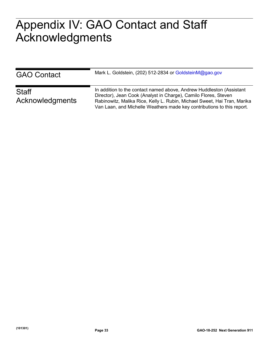## <span id="page-36-0"></span> $A \cap \bigcap A$ AU U Appendix IV: GAO Contact and Staff Acknowledgments

| <b>GAO Contact</b>              | Mark L. Goldstein, (202) 512-2834 or GoldsteinM@gao.gov                                                                                                                                                                                                                                       |
|---------------------------------|-----------------------------------------------------------------------------------------------------------------------------------------------------------------------------------------------------------------------------------------------------------------------------------------------|
| <b>Staff</b><br>Acknowledgments | In addition to the contact named above, Andrew Huddleston (Assistant<br>Director), Jean Cook (Analyst in Charge), Camilo Flores, Steven<br>Rabinowitz, Malika Rice, Kelly L. Rubin, Michael Sweet, Hai Tran, Marika<br>Van Laan, and Michelle Weathers made key contributions to this report. |